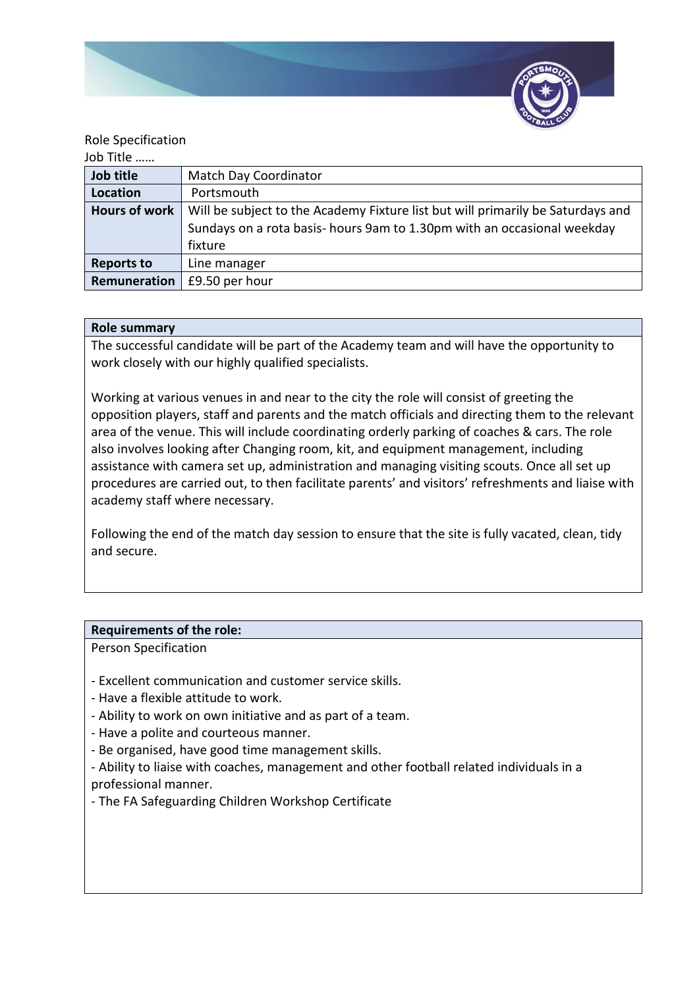

### Role Specification

Job Title ……

| Job title            | Match Day Coordinator                                                                                                                                                |
|----------------------|----------------------------------------------------------------------------------------------------------------------------------------------------------------------|
| Location             | Portsmouth                                                                                                                                                           |
| <b>Hours of work</b> | Will be subject to the Academy Fixture list but will primarily be Saturdays and<br>Sundays on a rota basis-hours 9am to 1.30pm with an occasional weekday<br>fixture |
| <b>Reports to</b>    | Line manager                                                                                                                                                         |
| Remuneration         | £9.50 per hour                                                                                                                                                       |

## **Role summary**

The successful candidate will be part of the Academy team and will have the opportunity to work closely with our highly qualified specialists.

Working at various venues in and near to the city the role will consist of greeting the opposition players, staff and parents and the match officials and directing them to the relevant area of the venue. This will include coordinating orderly parking of coaches & cars. The role also involves looking after Changing room, kit, and equipment management, including assistance with camera set up, administration and managing visiting scouts. Once all set up procedures are carried out, to then facilitate parents' and visitors' refreshments and liaise with academy staff where necessary.

Following the end of the match day session to ensure that the site is fully vacated, clean, tidy and secure.

#### **Requirements of the role:**

Person Specification

- Excellent communication and customer service skills.
- Have a flexible attitude to work.
- Ability to work on own initiative and as part of a team.
- Have a polite and courteous manner.
- Be organised, have good time management skills.
- Ability to liaise with coaches, management and other football related individuals in a professional manner.
- The FA Safeguarding Children Workshop Certificate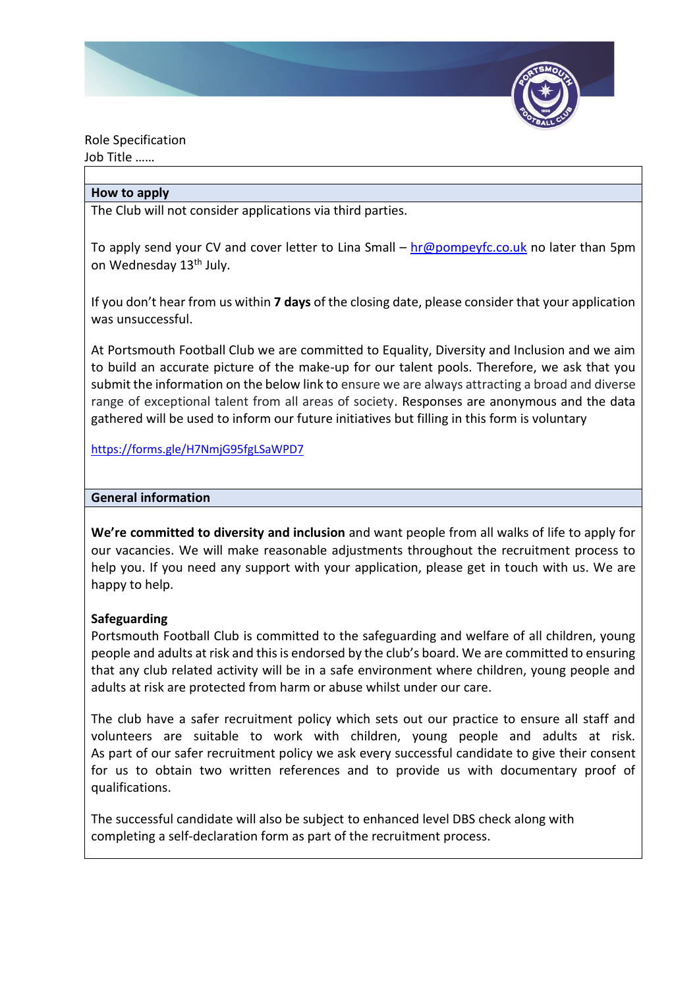

Role Specification Job Title ……

#### **How to apply**

The Club will not consider applications via third parties.

To apply send your CV and cover letter to Lina Small –  $hr@pompeyfc.co.uk$  no later than 5pm on Wednesday 13<sup>th</sup> July.

If you don't hear from us within **7 days** of the closing date, please consider that your application was unsuccessful.

At Portsmouth Football Club we are committed to Equality, Diversity and Inclusion and we aim to build an accurate picture of the make-up for our talent pools. Therefore, we ask that you submit the information on the below link to ensure we are always attracting a broad and diverse range of exceptional talent from all areas of society. Responses are anonymous and the data gathered will be used to inform our future initiatives but filling in this form is voluntary

<https://forms.gle/H7NmjG95fgLSaWPD7>

#### **General information**

**We're committed to diversity and inclusion** and want people from all walks of life to apply for our vacancies. We will make reasonable adjustments throughout the recruitment process to help you. If you need any support with your application, please get in touch with us. We are happy to help.

# **Safeguarding**

Portsmouth Football Club is committed to the safeguarding and welfare of all children, young people and adults at risk and this is endorsed by the club's board. We are committed to ensuring that any club related activity will be in a safe environment where children, young people and adults at risk are protected from harm or abuse whilst under our care.

The club have a safer recruitment policy which sets out our practice to ensure all staff and volunteers are suitable to work with children, young people and adults at risk. As part of our safer recruitment policy we ask every successful candidate to give their consent for us to obtain two written references and to provide us with documentary proof of qualifications.

The successful candidate will also be subject to enhanced level DBS check along with completing a self-declaration form as part of the recruitment process.